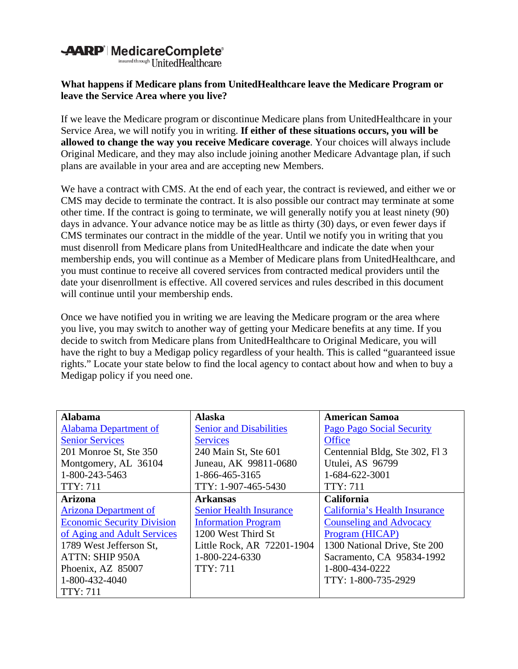## **-AARP**' MedicareComplete®

insured through UnitedHealthcare

## **What happens if Medicare plans from UnitedHealthcare leave the Medicare Program or leave the Service Area where you live?**

If we leave the Medicare program or discontinue Medicare plans from UnitedHealthcare in your Service Area, we will notify you in writing. **If either of these situations occurs, you will be allowed to change the way you receive Medicare coverage**. Your choices will always include Original Medicare, and they may also include joining another Medicare Advantage plan, if such plans are available in your area and are accepting new Members.

We have a contract with CMS. At the end of each year, the contract is reviewed, and either we or CMS may decide to terminate the contract. It is also possible our contract may terminate at some other time. If the contract is going to terminate, we will generally notify you at least ninety (90) days in advance. Your advance notice may be as little as thirty (30) days, or even fewer days if CMS terminates our contract in the middle of the year. Until we notify you in writing that you must disenroll from Medicare plans from UnitedHealthcare and indicate the date when your membership ends, you will continue as a Member of Medicare plans from UnitedHealthcare, and you must continue to receive all covered services from contracted medical providers until the date your disenrollment is effective. All covered services and rules described in this document will continue until your membership ends.

Once we have notified you in writing we are leaving the Medicare program or the area where you live, you may switch to another way of getting your Medicare benefits at any time. If you decide to switch from Medicare plans from UnitedHealthcare to Original Medicare, you will have the right to buy a Medigap policy regardless of your health. This is called "guaranteed issue rights." Locate your state below to find the local agency to contact about how and when to buy a Medigap policy if you need one.

| <b>Alabama</b>                    | <b>Alaska</b>                  | <b>American Samoa</b>            |
|-----------------------------------|--------------------------------|----------------------------------|
| <b>Alabama Department of</b>      | <b>Senior and Disabilities</b> | <b>Pago Pago Social Security</b> |
| <b>Senior Services</b>            | <b>Services</b>                | <b>Office</b>                    |
| 201 Monroe St, Ste 350            | 240 Main St, Ste 601           | Centennial Bldg, Ste 302, Fl 3   |
| Montgomery, AL 36104              | Juneau, AK 99811-0680          | Utulei, AS 96799                 |
| 1-800-243-5463                    | 1-866-465-3165                 | 1-684-622-3001                   |
| <b>TTY: 711</b>                   | TTY: 1-907-465-5430            | <b>TTY: 711</b>                  |
| <b>Arizona</b>                    | <b>Arkansas</b>                | <b>California</b>                |
| <b>Arizona Department of</b>      | <b>Senior Health Insurance</b> | California's Health Insurance    |
| <b>Economic Security Division</b> | <b>Information Program</b>     | <b>Counseling and Advocacy</b>   |
| of Aging and Adult Services       | 1200 West Third St             | Program (HICAP)                  |
| 1789 West Jefferson St,           | Little Rock, AR 72201-1904     | 1300 National Drive, Ste 200     |
| ATTN: SHIP 950A                   | 1-800-224-6330                 | Sacramento, CA 95834-1992        |
| Phoenix, AZ 85007                 | <b>TTY: 711</b>                | 1-800-434-0222                   |
| 1-800-432-4040                    |                                | TTY: 1-800-735-2929              |
| <b>TTY: 711</b>                   |                                |                                  |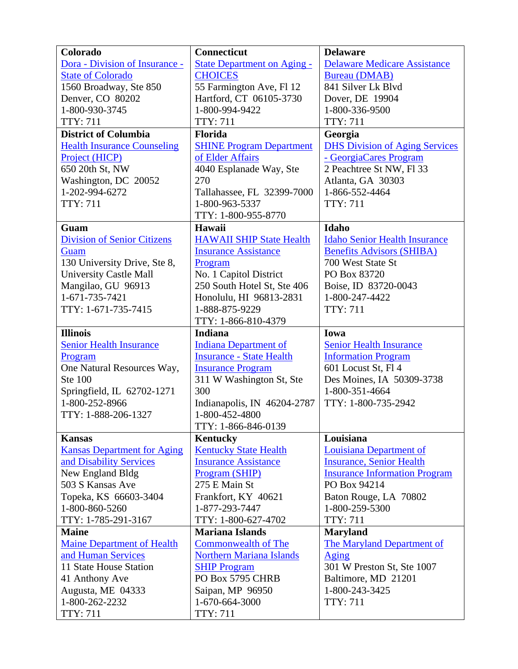| Colorado                           | Connecticut                        | <b>Delaware</b>                       |
|------------------------------------|------------------------------------|---------------------------------------|
| Dora - Division of Insurance -     | <b>State Department on Aging -</b> | <b>Delaware Medicare Assistance</b>   |
| <b>State of Colorado</b>           | <b>CHOICES</b>                     | <b>Bureau</b> (DMAB)                  |
| 1560 Broadway, Ste 850             | 55 Farmington Ave, Fl 12           | 841 Silver Lk Blvd                    |
| Denver, CO 80202                   | Hartford, CT 06105-3730            | Dover, DE 19904                       |
| 1-800-930-3745                     | 1-800-994-9422                     | 1-800-336-9500                        |
| <b>TTY: 711</b>                    | <b>TTY: 711</b>                    | <b>TTY: 711</b>                       |
| <b>District of Columbia</b>        | Florida                            | Georgia                               |
| <b>Health Insurance Counseling</b> | <b>SHINE Program Department</b>    | <b>DHS Division of Aging Services</b> |
| Project (HICP)                     | of Elder Affairs                   | - GeorgiaCares Program                |
| 650 20th St, NW                    | 4040 Esplanade Way, Ste            | 2 Peachtree St NW, Fl 33              |
| Washington, DC 20052               | 270                                | Atlanta, GA 30303                     |
| 1-202-994-6272                     | Tallahassee, FL 32399-7000         | 1-866-552-4464                        |
| <b>TTY: 711</b>                    | 1-800-963-5337                     | <b>TTY: 711</b>                       |
|                                    | TTY: 1-800-955-8770                |                                       |
| Guam                               | Hawaii                             | Idaho                                 |
| <b>Division of Senior Citizens</b> | <b>HAWAII SHIP State Health</b>    | <b>Idaho Senior Health Insurance</b>  |
| Guam                               | <b>Insurance Assistance</b>        | <b>Benefits Advisors (SHIBA)</b>      |
| 130 University Drive, Ste 8,       | Program                            | 700 West State St                     |
| <b>University Castle Mall</b>      | No. 1 Capitol District             | PO Box 83720                          |
| Mangilao, GU 96913                 | 250 South Hotel St, Ste 406        | Boise, ID 83720-0043                  |
| 1-671-735-7421                     | Honolulu, HI 96813-2831            | 1-800-247-4422                        |
| TTY: 1-671-735-7415                | 1-888-875-9229                     | <b>TTY: 711</b>                       |
|                                    | TTY: 1-866-810-4379                |                                       |
| <b>Illinois</b>                    | <b>Indiana</b>                     | Iowa                                  |
| <b>Senior Health Insurance</b>     | <b>Indiana Department of</b>       | <b>Senior Health Insurance</b>        |
| Program                            | <b>Insurance - State Health</b>    | <b>Information Program</b>            |
| One Natural Resources Way,         | <b>Insurance Program</b>           | 601 Locust St, Fl 4                   |
| <b>Ste 100</b>                     | 311 W Washington St, Ste           | Des Moines, IA 50309-3738             |
| Springfield, IL 62702-1271         | 300                                | 1-800-351-4664                        |
| 1-800-252-8966                     | Indianapolis, IN 46204-2787        | TTY: 1-800-735-2942                   |
| TTY: 1-888-206-1327                | 1-800-452-4800                     |                                       |
|                                    | TTY: 1-866-846-0139                |                                       |
| <b>Kansas</b>                      | <b>Kentucky</b>                    | Louisiana                             |
| <b>Kansas Department for Aging</b> | <b>Kentucky State Health</b>       | Louisiana Department of               |
| and Disability Services            | <b>Insurance Assistance</b>        | <b>Insurance, Senior Health</b>       |
| New England Bldg                   | Program (SHIP)                     | <b>Insurance Information Program</b>  |
| 503 S Kansas Ave                   | 275 E Main St                      | PO Box 94214                          |
| Topeka, KS 66603-3404              | Frankfort, KY 40621                | Baton Rouge, LA 70802                 |
| 1-800-860-5260                     | 1-877-293-7447                     | 1-800-259-5300                        |
| TTY: 1-785-291-3167                | TTY: 1-800-627-4702                | <b>TTY: 711</b>                       |
| <b>Maine</b>                       | <b>Mariana Islands</b>             | <b>Maryland</b>                       |
| <b>Maine Department of Health</b>  | <b>Commonwealth of The</b>         | <b>The Maryland Department of</b>     |
| and Human Services                 | <b>Northern Mariana Islands</b>    | Aging                                 |
| 11 State House Station             | <b>SHIP Program</b>                | 301 W Preston St, Ste 1007            |
| 41 Anthony Ave                     | PO Box 5795 CHRB                   | Baltimore, MD 21201                   |
| Augusta, ME 04333                  | Saipan, MP 96950                   | 1-800-243-3425                        |
| 1-800-262-2232                     | 1-670-664-3000                     | <b>TTY: 711</b>                       |
| TTY: 711                           | <b>TTY: 711</b>                    |                                       |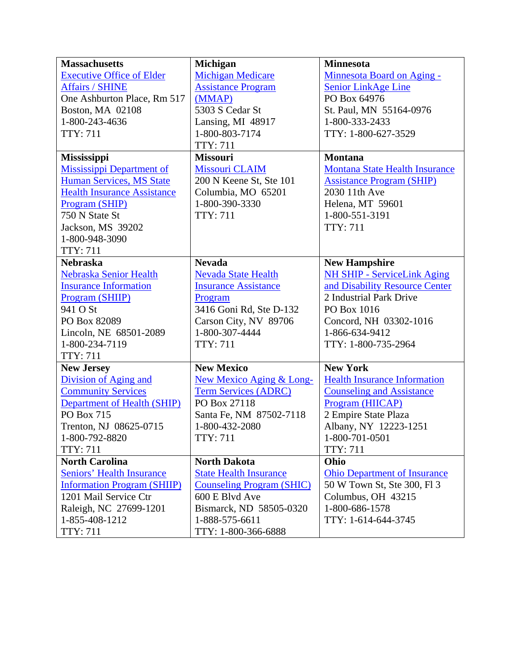| <b>Massachusetts</b>               | <b>Michigan</b>                  | <b>Minnesota</b>                      |
|------------------------------------|----------------------------------|---------------------------------------|
| <b>Executive Office of Elder</b>   | <b>Michigan Medicare</b>         | Minnesota Board on Aging -            |
| <b>Affairs / SHINE</b>             | <b>Assistance Program</b>        | Senior LinkAge Line                   |
| One Ashburton Place, Rm 517        | (MMAP)                           | PO Box 64976                          |
| Boston, MA 02108                   | 5303 S Cedar St                  | St. Paul, MN 55164-0976               |
| 1-800-243-4636                     | Lansing, MI 48917                | 1-800-333-2433                        |
| <b>TTY: 711</b>                    | 1-800-803-7174                   | TTY: 1-800-627-3529                   |
|                                    | <b>TTY: 711</b>                  |                                       |
| <b>Mississippi</b>                 | <b>Missouri</b>                  | <b>Montana</b>                        |
| Mississippi Department of          | <b>Missouri CLAIM</b>            | <b>Montana State Health Insurance</b> |
| <b>Human Services, MS State</b>    | 200 N Keene St, Ste 101          | <b>Assistance Program (SHIP)</b>      |
| <b>Health Insurance Assistance</b> | Columbia, MO 65201               | 2030 11th Ave                         |
| Program (SHIP)                     | 1-800-390-3330                   | Helena, MT 59601                      |
| 750 N State St                     | <b>TTY: 711</b>                  | 1-800-551-3191                        |
| Jackson, MS 39202                  |                                  | <b>TTY: 711</b>                       |
| 1-800-948-3090                     |                                  |                                       |
| <b>TTY: 711</b>                    |                                  |                                       |
| <b>Nebraska</b>                    | <b>Nevada</b>                    | <b>New Hampshire</b>                  |
| Nebraska Senior Health             | <b>Nevada State Health</b>       | NH SHIP - ServiceLink Aging           |
| <b>Insurance Information</b>       | <b>Insurance Assistance</b>      | and Disability Resource Center        |
| Program (SHIIP)                    | Program                          | 2 Industrial Park Drive               |
| 941 O St                           | 3416 Goni Rd, Ste D-132          | PO Box 1016                           |
| PO Box 82089                       | Carson City, NV 89706            | Concord, NH 03302-1016                |
| Lincoln, NE 68501-2089             | 1-800-307-4444                   | 1-866-634-9412                        |
| 1-800-234-7119                     | <b>TTY: 711</b>                  | TTY: 1-800-735-2964                   |
| <b>TTY: 711</b>                    |                                  |                                       |
| <b>New Jersey</b>                  | <b>New Mexico</b>                | <b>New York</b>                       |
| Division of Aging and              | New Mexico Aging & Long-         | <b>Health Insurance Information</b>   |
| <b>Community Services</b>          | <b>Term Services (ADRC)</b>      | <b>Counseling and Assistance</b>      |
| <b>Department of Health (SHIP)</b> | PO Box 27118                     | Program (HIICAP)                      |
| PO Box 715                         | Santa Fe, NM 87502-7118          | 2 Empire State Plaza                  |
| Trenton, NJ 08625-0715             | 1-800-432-2080                   | Albany, NY 12223-1251                 |
| 1-800-792-8820                     | <b>TTY: 711</b>                  | 1-800-701-0501                        |
| <b>TTY: 711</b>                    |                                  | <b>TTY: 711</b>                       |
| <b>North Carolina</b>              | <b>North Dakota</b>              | Ohio                                  |
| <b>Seniors' Health Insurance</b>   | <b>State Health Insurance</b>    | <b>Ohio Department of Insurance</b>   |
| <b>Information Program (SHIIP)</b> | <b>Counseling Program (SHIC)</b> | 50 W Town St, Ste 300, Fl 3           |
| 1201 Mail Service Ctr              | 600 E Blvd Ave                   | Columbus, OH 43215                    |
| Raleigh, NC 27699-1201             | Bismarck, ND 58505-0320          | 1-800-686-1578                        |
| 1-855-408-1212                     | 1-888-575-6611                   | TTY: 1-614-644-3745                   |
| <b>TTY: 711</b>                    | TTY: 1-800-366-6888              |                                       |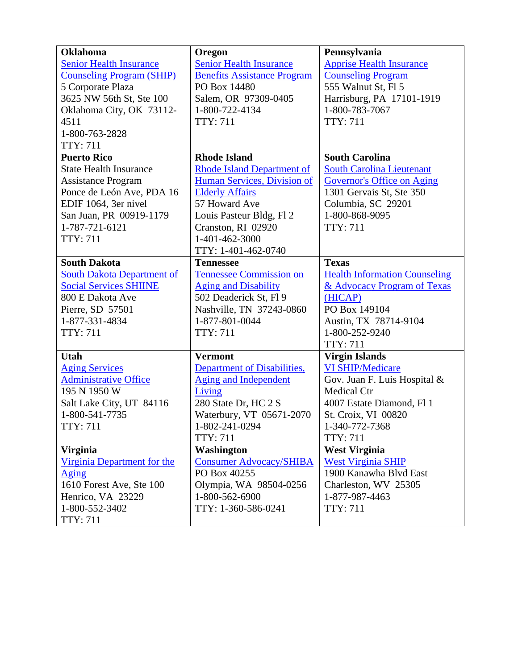| <b>Oklahoma</b>                   | Oregon                             | Pennsylvania                         |
|-----------------------------------|------------------------------------|--------------------------------------|
| <b>Senior Health Insurance</b>    | <b>Senior Health Insurance</b>     | <b>Apprise Health Insurance</b>      |
| <b>Counseling Program (SHIP)</b>  | <b>Benefits Assistance Program</b> | <b>Counseling Program</b>            |
| 5 Corporate Plaza                 | PO Box 14480                       | 555 Walnut St, Fl 5                  |
| 3625 NW 56th St, Ste 100          | Salem, OR 97309-0405               | Harrisburg, PA 17101-1919            |
| Oklahoma City, OK 73112-          | 1-800-722-4134                     | 1-800-783-7067                       |
| 4511                              | <b>TTY: 711</b>                    | <b>TTY: 711</b>                      |
| 1-800-763-2828                    |                                    |                                      |
| <b>TTY: 711</b>                   |                                    |                                      |
| <b>Puerto Rico</b>                | <b>Rhode Island</b>                | <b>South Carolina</b>                |
| <b>State Health Insurance</b>     | <b>Rhode Island Department of</b>  | <b>South Carolina Lieutenant</b>     |
| <b>Assistance Program</b>         | Human Services, Division of        | <b>Governor's Office on Aging</b>    |
| Ponce de León Ave, PDA 16         | <b>Elderly Affairs</b>             | 1301 Gervais St, Ste 350             |
| EDIF 1064, 3er nivel              | 57 Howard Ave                      | Columbia, SC 29201                   |
| San Juan, PR 00919-1179           | Louis Pasteur Bldg, Fl 2           | 1-800-868-9095                       |
| 1-787-721-6121                    | Cranston, RI 02920                 | <b>TTY: 711</b>                      |
| <b>TTY: 711</b>                   | 1-401-462-3000                     |                                      |
|                                   | TTY: 1-401-462-0740                |                                      |
| <b>South Dakota</b>               | <b>Tennessee</b>                   | <b>Texas</b>                         |
| <b>South Dakota Department of</b> | <b>Tennessee Commission on</b>     | <b>Health Information Counseling</b> |
| <b>Social Services SHIINE</b>     | <b>Aging and Disability</b>        | & Advocacy Program of Texas          |
| 800 E Dakota Ave                  | 502 Deaderick St, Fl 9             | (HICAP)                              |
| Pierre, SD 57501                  | Nashville, TN 37243-0860           | PO Box 149104                        |
| 1-877-331-4834                    | 1-877-801-0044                     | Austin, TX 78714-9104                |
| <b>TTY: 711</b>                   | <b>TTY: 711</b>                    | 1-800-252-9240                       |
|                                   |                                    | <b>TTY: 711</b>                      |
| Utah                              | <b>Vermont</b>                     | <b>Virgin Islands</b>                |
| <b>Aging Services</b>             | Department of Disabilities,        | <b>VI SHIP/Medicare</b>              |
| <b>Administrative Office</b>      | <b>Aging and Independent</b>       | Gov. Juan F. Luis Hospital &         |
| 195 N 1950 W                      | Living                             | <b>Medical Ctr</b>                   |
| Salt Lake City, UT 84116          | 280 State Dr, HC 2 S               | 4007 Estate Diamond, Fl 1            |
| 1-800-541-7735                    | Waterbury, VT 05671-2070           | St. Croix, VI 00820                  |
| <b>TTY: 711</b>                   | 1-802-241-0294                     | 1-340-772-7368                       |
|                                   | <b>TTY: 711</b>                    | <b>TTY: 711</b>                      |
| <b>Virginia</b>                   | <b>Washington</b>                  | <b>West Virginia</b>                 |
| Virginia Department for the       | <b>Consumer Advocacy/SHIBA</b>     | <b>West Virginia SHIP</b>            |
| <u>Aging</u>                      | PO Box 40255                       | 1900 Kanawha Blvd East               |
| 1610 Forest Ave, Ste 100          | Olympia, WA 98504-0256             | Charleston, WV 25305                 |
| Henrico, VA 23229                 | 1-800-562-6900                     | 1-877-987-4463                       |
| 1-800-552-3402                    | TTY: 1-360-586-0241                | <b>TTY: 711</b>                      |
| <b>TTY: 711</b>                   |                                    |                                      |